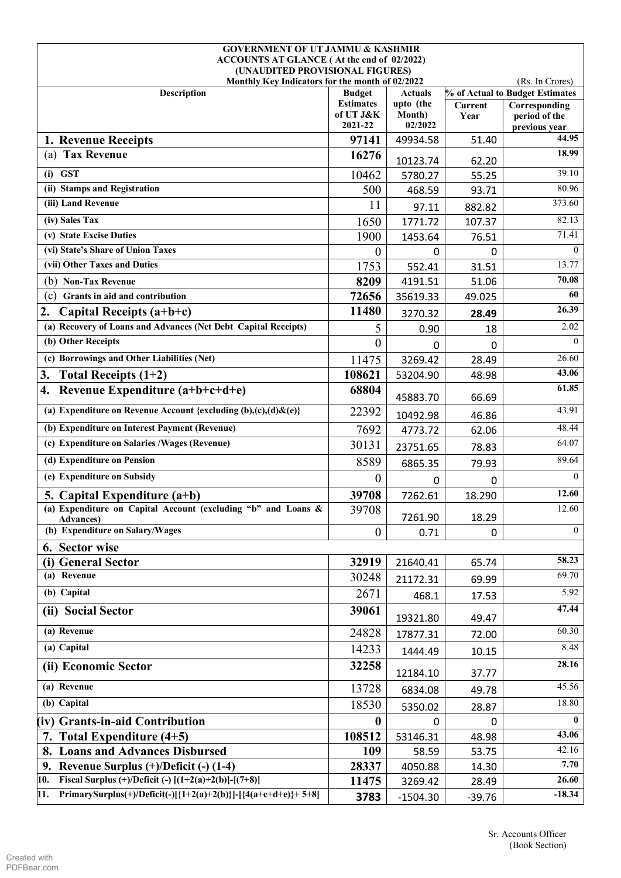| <b>GOVERNMENT OF UT JAMMU &amp; KASHMIR</b>                                        |                               |                     |                 |                                 |  |  |
|------------------------------------------------------------------------------------|-------------------------------|---------------------|-----------------|---------------------------------|--|--|
| ACCOUNTS AT GLANCE (At the end of 02/2022)<br>(UNAUDITED PROVISIONAL FIGURES)      |                               |                     |                 |                                 |  |  |
| Monthly Key Indicators for the month of 02/2022                                    |                               |                     |                 | (Rs. In Crores)                 |  |  |
| Description                                                                        | <b>Budget</b>                 | <b>Actuals</b>      |                 | % of Actual to Budget Estimates |  |  |
|                                                                                    | <b>Estimates</b><br>of UT J&K | upto (the<br>Month) | Current<br>Year | Corresponding<br>period of the  |  |  |
|                                                                                    | 2021-22                       | 02/2022             |                 | previous year                   |  |  |
| 1. Revenue Receipts                                                                | 97141                         | 49934.58            | 51.40           | 44.95                           |  |  |
| (a) Tax Revenue                                                                    | 16276                         | 10123.74            | 62.20           | 18.99                           |  |  |
| $(i)$ GST                                                                          | 10462                         | 5780.27             | 55.25           | 39.10                           |  |  |
| (ii) Stamps and Registration                                                       | 500                           | 468.59              | 93.71           | 80.96                           |  |  |
| (iii) Land Revenue                                                                 | 11                            | 97.11               | 882.82          | 373.60                          |  |  |
| (iv) Sales Tax                                                                     | 1650                          | 1771.72             | 107.37          | 82.13                           |  |  |
| (v) State Excise Duties                                                            | 1900                          | 1453.64             | 76.51           | 71.41                           |  |  |
| (vi) State's Share of Union Taxes                                                  | $\theta$                      | 0                   | $\Omega$        | $\Omega$                        |  |  |
| (vii) Other Taxes and Duties                                                       | 1753                          | 552.41              | 31.51           | 13.77                           |  |  |
| (b) Non-Tax Revenue                                                                | 8209                          | 4191.51             | 51.06           | 70.08                           |  |  |
| Grants in aid and contribution<br>(c)                                              | 72656                         | 35619.33            | 49.025          | 60                              |  |  |
| 2.<br>Capital Receipts $(a+b+c)$                                                   | 11480                         | 3270.32             | 28.49           | 26.39                           |  |  |
| (a) Recovery of Loans and Advances (Net Debt Capital Receipts)                     | 5                             | 0.90                | 18              | 2.02                            |  |  |
| (b) Other Receipts                                                                 | $\theta$                      | 0                   | 0               | $\theta$                        |  |  |
| (c) Borrowings and Other Liabilities (Net)                                         | 11475                         | 3269.42             | 28.49           | 26.60                           |  |  |
| 3.<br>Total Receipts $(1+2)$                                                       | 108621                        | 53204.90            | 48.98           | 43.06                           |  |  |
| Revenue Expenditure (a+b+c+d+e)<br>4.                                              | 68804                         | 45883.70            | 66.69           | 61.85                           |  |  |
| (a) Expenditure on Revenue Account {excluding $(b),(c),(d)\& (e)\}$                | 22392                         | 10492.98            | 46.86           | 43.91                           |  |  |
| (b) Expenditure on Interest Payment (Revenue)                                      | 7692                          | 4773.72             | 62.06           | 48.44                           |  |  |
| (c) Expenditure on Salaries / Wages (Revenue)                                      | 30131                         | 23751.65            | 78.83           | 64.07                           |  |  |
| (d) Expenditure on Pension                                                         | 8589                          | 6865.35             | 79.93           | 89.64                           |  |  |
| (e) Expenditure on Subsidy                                                         | $\theta$                      | 0                   | 0               | $\Omega$                        |  |  |
| 5. Capital Expenditure $(a+b)$                                                     | 39708                         | 7262.61             | 18.290          | 12.60                           |  |  |
| (a) Expenditure on Capital Account (excluding "b" and Loans &<br><b>Advances</b> ) | 39708                         | 7261.90             | 18.29           | 12.60                           |  |  |
| (b) Expenditure on Salary/Wages                                                    | $\overline{0}$                | 0.71                | 0               | $\theta$                        |  |  |
| 6. Sector wise                                                                     |                               |                     |                 |                                 |  |  |
| (i) General Sector                                                                 | 32919                         | 21640.41            | 65.74           | 58.23                           |  |  |
| (a) Revenue                                                                        | 30248                         | 21172.31            | 69.99           | 69.70                           |  |  |
| (b) Capital                                                                        | 2671                          | 468.1               | 17.53           | 5.92                            |  |  |
| (ii) Social Sector                                                                 | 39061                         | 19321.80            | 49.47           | 47.44                           |  |  |
| (a) Revenue                                                                        | 24828                         | 17877.31            | 72.00           | 60.30                           |  |  |
| (a) Capital                                                                        | 14233                         | 1444.49             | 10.15           | 8.48                            |  |  |
| (ii) Economic Sector                                                               | 32258                         | 12184.10            | 37.77           | 28.16                           |  |  |
| (a) Revenue                                                                        | 13728                         | 6834.08             | 49.78           | 45.56                           |  |  |
| (b) Capital                                                                        | 18530                         | 5350.02             | 28.87           | 18.80                           |  |  |
| (iv) Grants-in-aid Contribution                                                    | $\mathbf{0}$                  | 0                   | 0               | $\mathbf{0}$                    |  |  |
| Total Expenditure $(4+5)$<br>7.                                                    | 108512                        | 53146.31            | 48.98           | 43.06                           |  |  |
| <b>Loans and Advances Disbursed</b><br>8.                                          | 109                           | 58.59               | 53.75           | 42.16                           |  |  |
| Revenue Surplus (+)/Deficit (-) (1-4)<br>9.                                        | 28337                         | 4050.88             | 14.30           | 7.70                            |  |  |
| Fiscal Surplus $(+)/$ Deficit $(-)$ $[(1+2(a)+2(b)]-[(7+8)]$<br>10.                | 11475                         | 3269.42             | 28.49           | 26.60                           |  |  |
| PrimarySurplus(+)/Deficit(-)[{1+2(a)+2(b)}]-[{4(a+c+d+e)}+ 5+8]<br>11.             | 3783                          | $-1504.30$          | $-39.76$        | $-18.34$                        |  |  |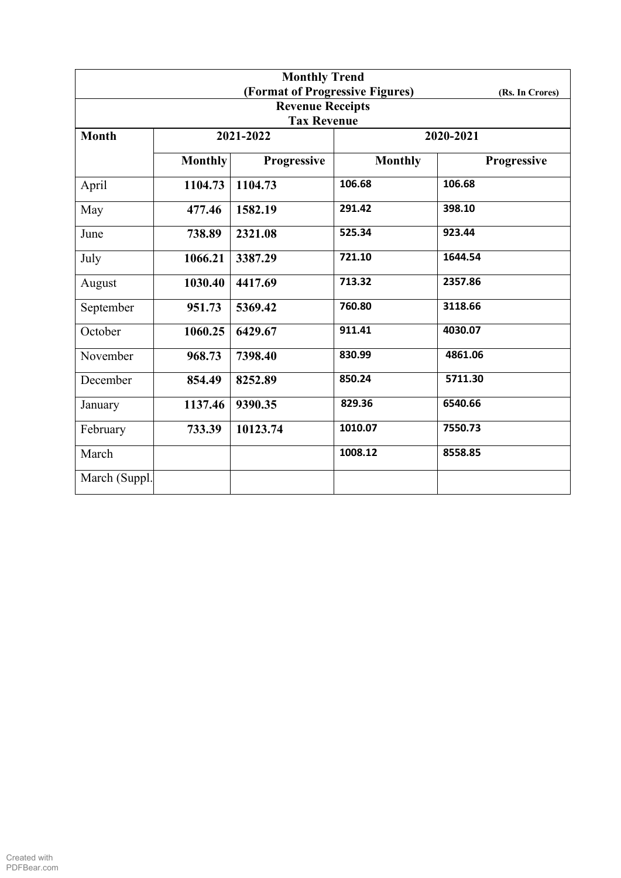| <b>Monthly Trend</b>    |                |                                 |                |                 |  |  |  |  |
|-------------------------|----------------|---------------------------------|----------------|-----------------|--|--|--|--|
|                         |                | (Format of Progressive Figures) |                | (Rs. In Crores) |  |  |  |  |
| <b>Revenue Receipts</b> |                |                                 |                |                 |  |  |  |  |
|                         |                | <b>Tax Revenue</b>              |                |                 |  |  |  |  |
| <b>Month</b>            |                | 2021-2022                       |                | 2020-2021       |  |  |  |  |
|                         | <b>Monthly</b> | Progressive                     | <b>Monthly</b> | Progressive     |  |  |  |  |
| April                   | 1104.73        | 1104.73                         | 106.68         | 106.68          |  |  |  |  |
| May                     | 477.46         | 1582.19                         | 291.42         | 398.10          |  |  |  |  |
| June                    | 738.89         | 2321.08                         | 525.34         | 923.44          |  |  |  |  |
| July                    | 1066.21        | 3387.29                         | 721.10         | 1644.54         |  |  |  |  |
| August                  | 1030.40        | 4417.69                         | 713.32         | 2357.86         |  |  |  |  |
| September               | 951.73         | 5369.42                         | 760.80         | 3118.66         |  |  |  |  |
| October                 | 1060.25        | 6429.67                         | 911.41         | 4030.07         |  |  |  |  |
| November                | 968.73         | 7398.40                         | 830.99         | 4861.06         |  |  |  |  |
| December                | 854.49         | 8252.89                         | 850.24         | 5711.30         |  |  |  |  |
| January                 | 1137.46        | 9390.35                         | 829.36         | 6540.66         |  |  |  |  |
| February                | 733.39         | 10123.74                        | 1010.07        | 7550.73         |  |  |  |  |
| March                   |                |                                 | 1008.12        | 8558.85         |  |  |  |  |
| March (Suppl.)          |                |                                 |                |                 |  |  |  |  |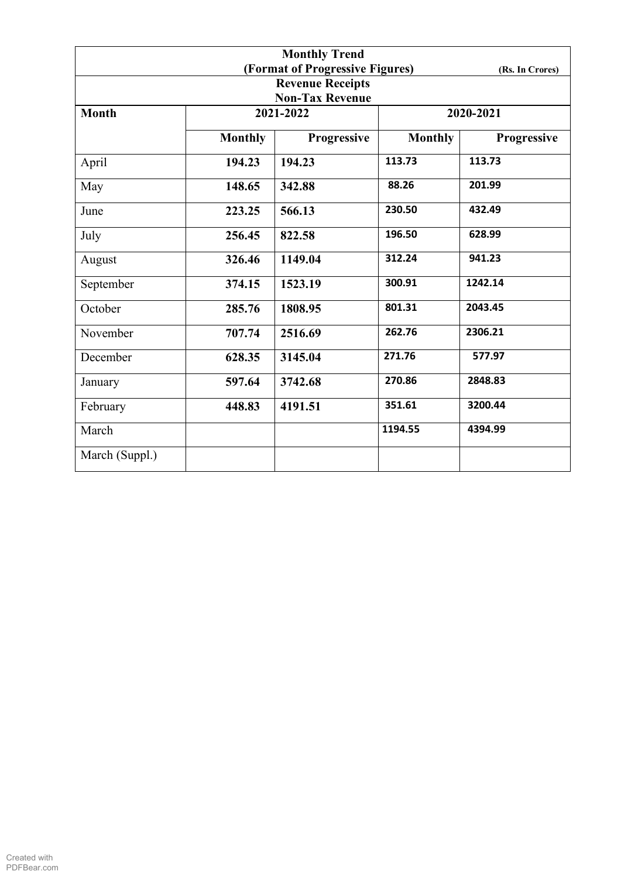|                |                                                    | <b>Monthly Trend</b>    |                |             |  |  |  |
|----------------|----------------------------------------------------|-------------------------|----------------|-------------|--|--|--|
|                | (Format of Progressive Figures)<br>(Rs. In Crores) |                         |                |             |  |  |  |
|                |                                                    | <b>Revenue Receipts</b> |                |             |  |  |  |
|                |                                                    | <b>Non-Tax Revenue</b>  |                |             |  |  |  |
| <b>Month</b>   |                                                    | 2021-2022               |                | 2020-2021   |  |  |  |
|                | <b>Monthly</b>                                     | Progressive             | <b>Monthly</b> | Progressive |  |  |  |
| April          | 194.23                                             | 194.23                  | 113.73         | 113.73      |  |  |  |
| May            | 148.65                                             | 342.88                  | 88.26          | 201.99      |  |  |  |
| June           | 223.25                                             | 566.13                  | 230.50         | 432.49      |  |  |  |
| July           | 256.45                                             | 822.58                  | 196.50         | 628.99      |  |  |  |
| August         | 326.46                                             | 1149.04                 | 312.24         | 941.23      |  |  |  |
| September      | 374.15                                             | 1523.19                 | 300.91         | 1242.14     |  |  |  |
| October        | 285.76                                             | 1808.95                 | 801.31         | 2043.45     |  |  |  |
| November       | 707.74                                             | 2516.69                 | 262.76         | 2306.21     |  |  |  |
| December       | 628.35                                             | 3145.04                 | 271.76         | 577.97      |  |  |  |
| January        | 597.64                                             | 3742.68                 | 270.86         | 2848.83     |  |  |  |
| February       | 448.83                                             | 4191.51                 | 351.61         | 3200.44     |  |  |  |
| March          |                                                    |                         | 1194.55        | 4394.99     |  |  |  |
| March (Suppl.) |                                                    |                         |                |             |  |  |  |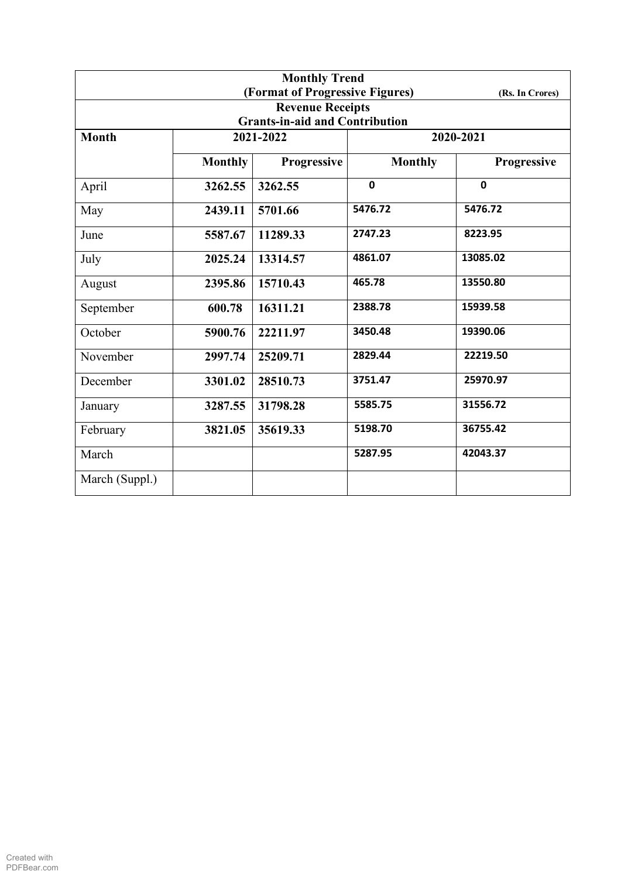| <b>Monthly Trend</b> |                |                                       |                |                 |  |
|----------------------|----------------|---------------------------------------|----------------|-----------------|--|
|                      |                | (Format of Progressive Figures)       |                | (Rs. In Crores) |  |
|                      |                | <b>Revenue Receipts</b>               |                |                 |  |
|                      |                | <b>Grants-in-aid and Contribution</b> |                |                 |  |
| <b>Month</b>         |                | 2021-2022                             | 2020-2021      |                 |  |
|                      | <b>Monthly</b> | Progressive                           | <b>Monthly</b> | Progressive     |  |
| April                | 3262.55        | 3262.55                               | $\mathbf 0$    | $\mathbf 0$     |  |
| May                  | 2439.11        | 5701.66                               | 5476.72        | 5476.72         |  |
| June                 | 5587.67        | 11289.33                              | 2747.23        | 8223.95         |  |
| July                 | 2025.24        | 13314.57                              | 4861.07        | 13085.02        |  |
| August               | 2395.86        | 15710.43                              | 465.78         | 13550.80        |  |
| September            | 600.78         | 16311.21                              | 2388.78        | 15939.58        |  |
| October              | 5900.76        | 22211.97                              | 3450.48        | 19390.06        |  |
| November             | 2997.74        | 25209.71                              | 2829.44        | 22219.50        |  |
| December             | 3301.02        | 28510.73                              | 3751.47        | 25970.97        |  |
| January              | 3287.55        | 31798.28                              | 5585.75        | 31556.72        |  |
| February             | 3821.05        | 35619.33                              | 5198.70        | 36755.42        |  |
| March                |                |                                       | 5287.95        | 42043.37        |  |
| March (Suppl.)       |                |                                       |                |                 |  |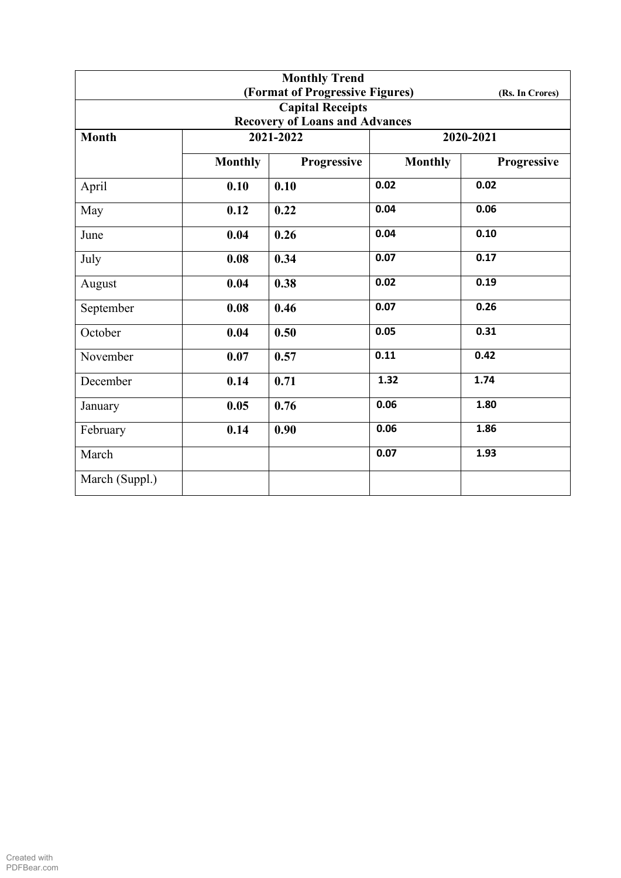|                |                | <b>Monthly Trend</b>                  |                |                 |  |
|----------------|----------------|---------------------------------------|----------------|-----------------|--|
|                |                | (Format of Progressive Figures)       |                | (Rs. In Crores) |  |
|                |                | <b>Capital Receipts</b>               |                |                 |  |
|                |                | <b>Recovery of Loans and Advances</b> |                |                 |  |
| <b>Month</b>   |                | 2021-2022                             | 2020-2021      |                 |  |
|                | <b>Monthly</b> | Progressive                           | <b>Monthly</b> | Progressive     |  |
| April          | 0.10           | 0.10                                  | 0.02           | 0.02            |  |
| May            | 0.12           | 0.22                                  | 0.04           | 0.06            |  |
| June           | 0.04           | 0.26                                  | 0.04           | 0.10            |  |
| July           | 0.08           | 0.34                                  | 0.07           | 0.17            |  |
| August         | 0.04           | 0.38                                  | 0.02           | 0.19            |  |
| September      | 0.08           | 0.46                                  | 0.07           | 0.26            |  |
| October        | 0.04           | 0.50                                  | 0.05           | 0.31            |  |
| November       | 0.07           | 0.57                                  | 0.11           | 0.42            |  |
| December       | 0.14           | 0.71                                  | 1.32           | 1.74            |  |
| January        | 0.05           | 0.76                                  | 0.06           | 1.80            |  |
| February       | 0.14           | 0.90                                  | 0.06           | 1.86            |  |
| March          |                |                                       | 0.07           | 1.93            |  |
| March (Suppl.) |                |                                       |                |                 |  |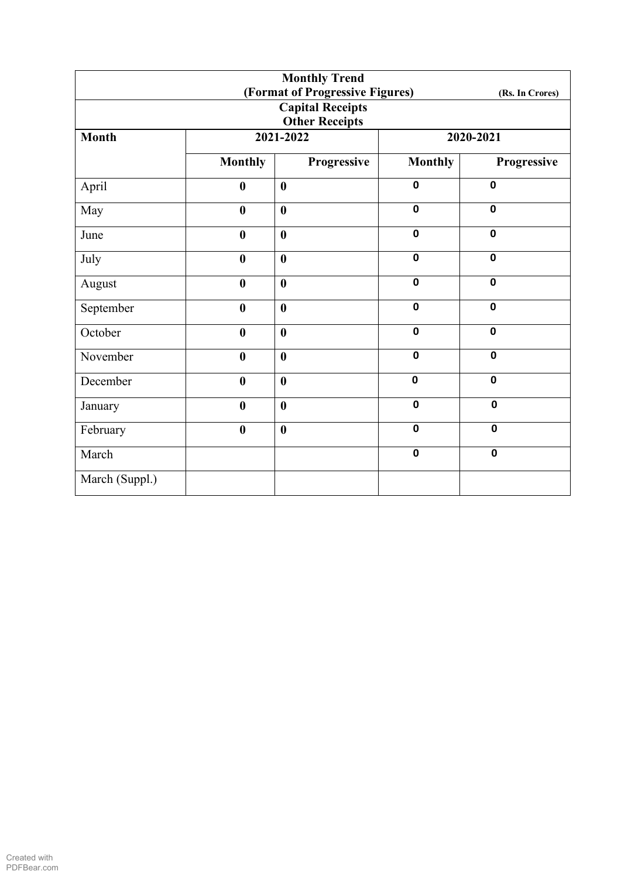| <b>Monthly Trend</b>  |                  |                                 |                |                 |  |  |
|-----------------------|------------------|---------------------------------|----------------|-----------------|--|--|
|                       |                  | (Format of Progressive Figures) |                | (Rs. In Crores) |  |  |
|                       |                  | <b>Capital Receipts</b>         |                |                 |  |  |
| <b>Other Receipts</b> |                  |                                 |                |                 |  |  |
| <b>Month</b>          |                  | 2021-2022                       |                | 2020-2021       |  |  |
|                       | <b>Monthly</b>   | Progressive                     | <b>Monthly</b> | Progressive     |  |  |
| April                 | $\boldsymbol{0}$ | $\boldsymbol{0}$                | $\mathbf 0$    | $\mathbf 0$     |  |  |
| May                   | $\boldsymbol{0}$ | $\boldsymbol{0}$                | $\mathbf 0$    | $\mathbf 0$     |  |  |
| June                  | $\boldsymbol{0}$ | $\boldsymbol{0}$                | $\mathbf 0$    | $\mathbf 0$     |  |  |
| July                  | $\boldsymbol{0}$ | $\boldsymbol{0}$                | $\mathbf 0$    | $\mathbf 0$     |  |  |
| August                | $\boldsymbol{0}$ | $\boldsymbol{0}$                | $\mathbf 0$    | $\mathbf 0$     |  |  |
| September             | $\bf{0}$         | $\boldsymbol{0}$                | $\mathbf 0$    | $\mathbf 0$     |  |  |
| October               | $\bf{0}$         | $\boldsymbol{0}$                | $\mathbf 0$    | $\mathbf 0$     |  |  |
| November              | $\boldsymbol{0}$ | $\boldsymbol{0}$                | $\mathbf 0$    | $\mathbf 0$     |  |  |
| December              | $\boldsymbol{0}$ | $\boldsymbol{0}$                | $\mathbf 0$    | $\mathbf 0$     |  |  |
| January               | $\boldsymbol{0}$ | $\boldsymbol{0}$                | $\mathbf 0$    | $\mathbf 0$     |  |  |
| February              | $\boldsymbol{0}$ | $\boldsymbol{0}$                | $\mathbf 0$    | $\mathbf 0$     |  |  |
| March                 |                  |                                 | $\mathbf 0$    | $\mathbf 0$     |  |  |
| March (Suppl.)        |                  |                                 |                |                 |  |  |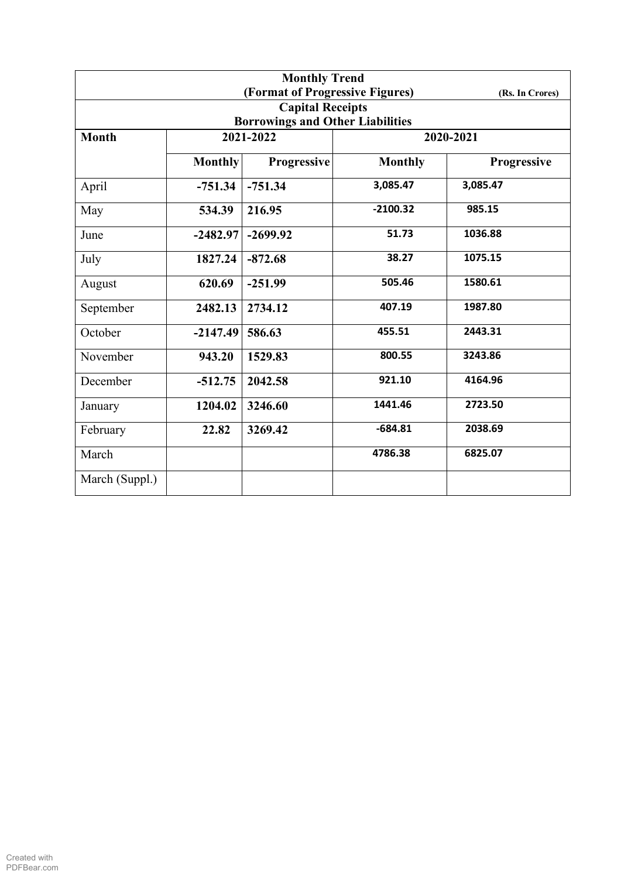| <b>Monthly Trend</b> |                |                                         |                |                    |  |  |
|----------------------|----------------|-----------------------------------------|----------------|--------------------|--|--|
|                      |                | (Format of Progressive Figures)         |                | (Rs. In Crores)    |  |  |
|                      |                | <b>Capital Receipts</b>                 |                |                    |  |  |
|                      |                | <b>Borrowings and Other Liabilities</b> |                |                    |  |  |
| <b>Month</b>         | 2021-2022      |                                         |                | 2020-2021          |  |  |
|                      | <b>Monthly</b> | <b>Progressive</b>                      | <b>Monthly</b> | <b>Progressive</b> |  |  |
| April                | $-751.34$      | $-751.34$                               | 3,085.47       | 3,085.47           |  |  |
| May                  | 534.39         | 216.95                                  | $-2100.32$     | 985.15             |  |  |
| June                 | $-2482.97$     | $-2699.92$                              | 51.73          | 1036.88            |  |  |
| July                 | 1827.24        | $-872.68$                               | 38.27          | 1075.15            |  |  |
| August               | 620.69         | $-251.99$                               | 505.46         | 1580.61            |  |  |
| September            | 2482.13        | 2734.12                                 | 407.19         | 1987.80            |  |  |
| October              | $-2147.49$     | 586.63                                  | 455.51         | 2443.31            |  |  |
| November             | 943.20         | 1529.83                                 | 800.55         | 3243.86            |  |  |
| December             | $-512.75$      | 2042.58                                 | 921.10         | 4164.96            |  |  |
| January              | 1204.02        | 3246.60                                 | 1441.46        | 2723.50            |  |  |
| February             | 22.82          | 3269.42                                 | $-684.81$      | 2038.69            |  |  |
| March                |                |                                         | 4786.38        | 6825.07            |  |  |
| March (Suppl.)       |                |                                         |                |                    |  |  |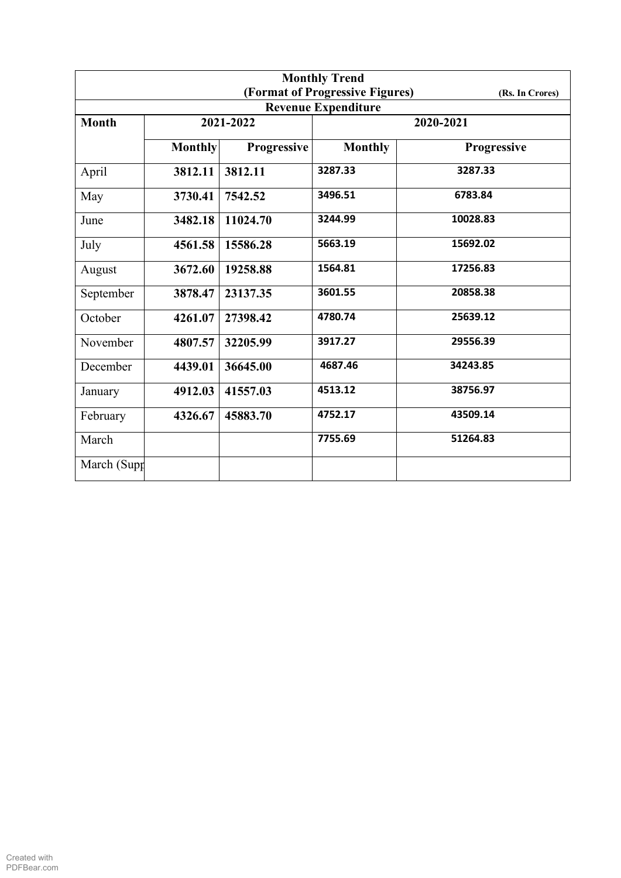| <b>Monthly Trend</b> |                |                    |                                 |                 |  |  |
|----------------------|----------------|--------------------|---------------------------------|-----------------|--|--|
|                      |                |                    | (Format of Progressive Figures) | (Rs. In Crores) |  |  |
|                      |                |                    | <b>Revenue Expenditure</b>      |                 |  |  |
| <b>Month</b>         |                | 2021-2022          |                                 | 2020-2021       |  |  |
|                      | <b>Monthly</b> | <b>Progressive</b> | <b>Monthly</b>                  | Progressive     |  |  |
| April                | 3812.11        | 3812.11            | 3287.33                         | 3287.33         |  |  |
| May                  | 3730.41        | 7542.52            | 3496.51                         | 6783.84         |  |  |
| June                 | 3482.18        | 11024.70           | 3244.99                         | 10028.83        |  |  |
| July                 | 4561.58        | 15586.28           | 5663.19                         | 15692.02        |  |  |
| August               | 3672.60        | 19258.88           | 1564.81                         | 17256.83        |  |  |
| September            | 3878.47        | 23137.35           | 3601.55                         | 20858.38        |  |  |
| October              | 4261.07        | 27398.42           | 4780.74                         | 25639.12        |  |  |
| November             | 4807.57        | 32205.99           | 3917.27                         | 29556.39        |  |  |
| December             | 4439.01        | 36645.00           | 4687.46                         | 34243.85        |  |  |
| January              | 4912.03        | 41557.03           | 4513.12                         | 38756.97        |  |  |
| February             | 4326.67        | 45883.70           | 4752.17                         | 43509.14        |  |  |
| March                |                |                    | 7755.69                         | 51264.83        |  |  |
| March (Supp          |                |                    |                                 |                 |  |  |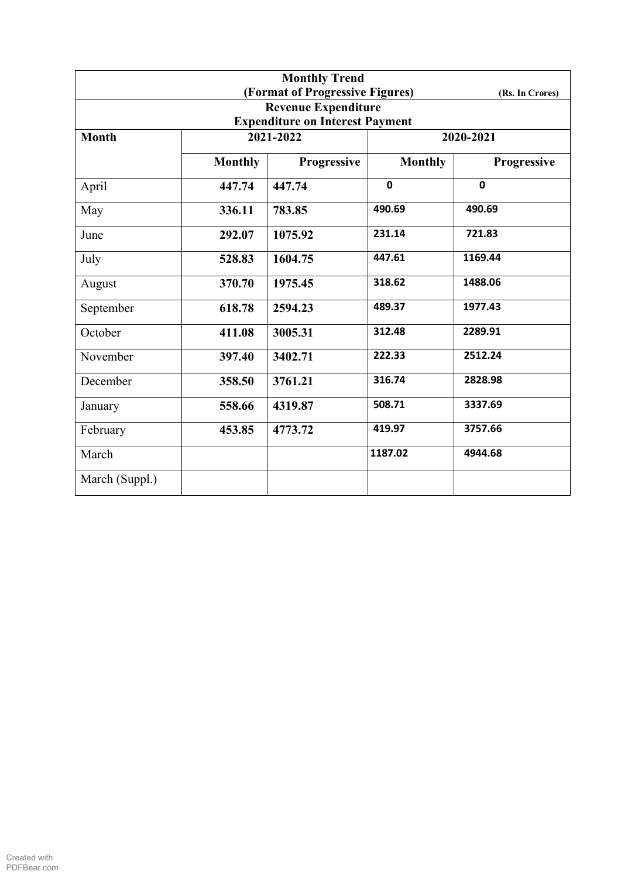| <b>Monthly Trend</b> |                                        |                                 |                |                 |  |  |  |
|----------------------|----------------------------------------|---------------------------------|----------------|-----------------|--|--|--|
|                      |                                        | (Format of Progressive Figures) |                | (Rs. In Crores) |  |  |  |
|                      |                                        | <b>Revenue Expenditure</b>      |                |                 |  |  |  |
|                      | <b>Expenditure on Interest Payment</b> |                                 |                |                 |  |  |  |
| <b>Month</b>         | 2021-2022                              |                                 | 2020-2021      |                 |  |  |  |
|                      | <b>Monthly</b>                         | Progressive                     | <b>Monthly</b> | Progressive     |  |  |  |
| April                | 447.74                                 | 447.74                          | $\mathbf 0$    | $\mathbf 0$     |  |  |  |
| May                  | 336.11                                 | 783.85                          | 490.69         | 490.69          |  |  |  |
| June                 | 292.07                                 | 1075.92                         | 231.14         | 721.83          |  |  |  |
| July                 | 528.83                                 | 1604.75                         | 447.61         | 1169.44         |  |  |  |
| August               | 370.70                                 | 1975.45                         | 318.62         | 1488.06         |  |  |  |
| September            | 618.78                                 | 2594.23                         | 489.37         | 1977.43         |  |  |  |
| October              | 411.08                                 | 3005.31                         | 312.48         | 2289.91         |  |  |  |
| November             | 397.40                                 | 3402.71                         | 222.33         | 2512.24         |  |  |  |
| December             | 358.50                                 | 3761.21                         | 316.74         | 2828.98         |  |  |  |
| January              | 558.66                                 | 4319.87                         | 508.71         | 3337.69         |  |  |  |
| February             | 453.85                                 | 4773.72                         | 419.97         | 3757.66         |  |  |  |
| March                |                                        |                                 | 1187.02        | 4944.68         |  |  |  |
| March (Suppl.)       |                                        |                                 |                |                 |  |  |  |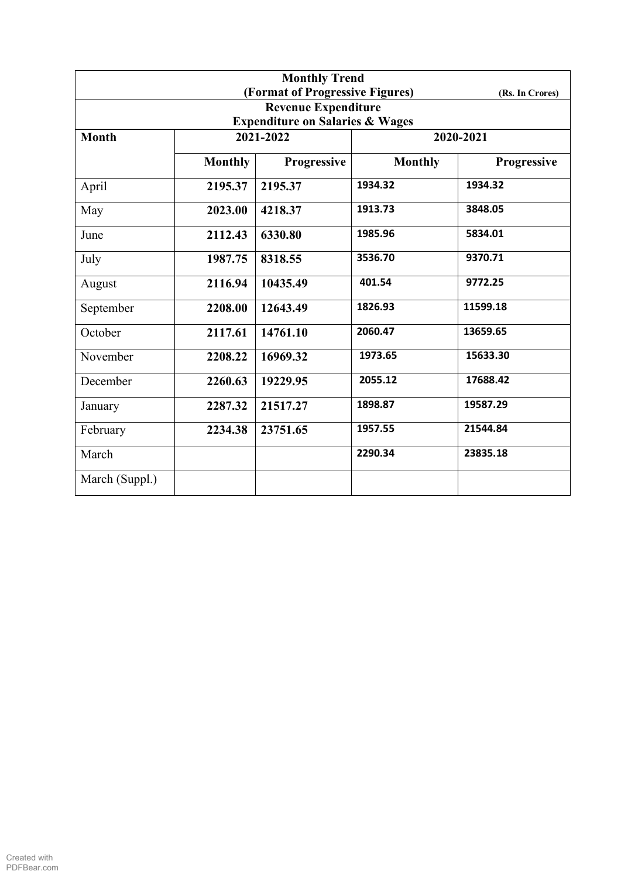| <b>Monthly Trend</b> |                |                                            |                |                 |  |
|----------------------|----------------|--------------------------------------------|----------------|-----------------|--|
|                      |                | (Format of Progressive Figures)            |                | (Rs. In Crores) |  |
|                      |                | <b>Revenue Expenditure</b>                 |                |                 |  |
|                      |                | <b>Expenditure on Salaries &amp; Wages</b> |                |                 |  |
| <b>Month</b>         |                | 2021-2022                                  | 2020-2021      |                 |  |
|                      | <b>Monthly</b> | Progressive                                | <b>Monthly</b> | Progressive     |  |
| April                | 2195.37        | 2195.37                                    | 1934.32        | 1934.32         |  |
| May                  | 2023.00        | 4218.37                                    | 1913.73        | 3848.05         |  |
| June                 | 2112.43        | 6330.80                                    | 1985.96        | 5834.01         |  |
| July                 | 1987.75        | 8318.55                                    | 3536.70        | 9370.71         |  |
| August               | 2116.94        | 10435.49                                   | 401.54         | 9772.25         |  |
| September            | 2208.00        | 12643.49                                   | 1826.93        | 11599.18        |  |
| October              | 2117.61        | 14761.10                                   | 2060.47        | 13659.65        |  |
| November             | 2208.22        | 16969.32                                   | 1973.65        | 15633.30        |  |
| December             | 2260.63        | 19229.95                                   | 2055.12        | 17688.42        |  |
| January              | 2287.32        | 21517.27                                   | 1898.87        | 19587.29        |  |
| February             | 2234.38        | 23751.65                                   | 1957.55        | 21544.84        |  |
| March                |                |                                            | 2290.34        | 23835.18        |  |
| March (Suppl.)       |                |                                            |                |                 |  |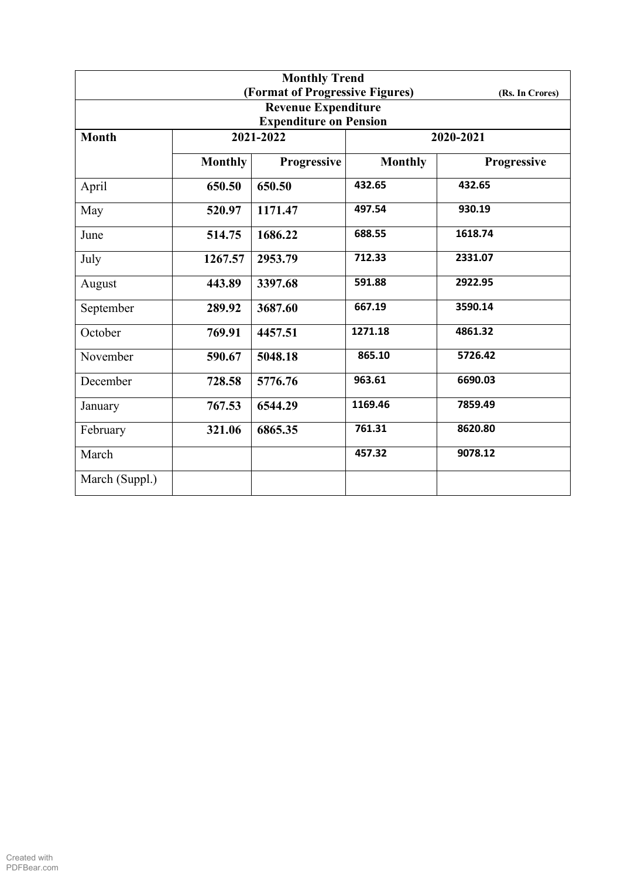| <b>Monthly Trend</b> |                |                                 |                |                 |  |
|----------------------|----------------|---------------------------------|----------------|-----------------|--|
|                      |                | (Format of Progressive Figures) |                | (Rs. In Crores) |  |
|                      |                | <b>Revenue Expenditure</b>      |                |                 |  |
|                      |                | <b>Expenditure on Pension</b>   |                |                 |  |
| <b>Month</b>         |                | 2021-2022                       | 2020-2021      |                 |  |
|                      | <b>Monthly</b> | <b>Progressive</b>              | <b>Monthly</b> | Progressive     |  |
| April                | 650.50         | 650.50                          | 432.65         | 432.65          |  |
| May                  | 520.97         | 1171.47                         | 497.54         | 930.19          |  |
| June                 | 514.75         | 1686.22                         | 688.55         | 1618.74         |  |
| July                 | 1267.57        | 2953.79                         | 712.33         | 2331.07         |  |
| August               | 443.89         | 3397.68                         | 591.88         | 2922.95         |  |
| September            | 289.92         | 3687.60                         | 667.19         | 3590.14         |  |
| October              | 769.91         | 4457.51                         | 1271.18        | 4861.32         |  |
| November             | 590.67         | 5048.18                         | 865.10         | 5726.42         |  |
| December             | 728.58         | 5776.76                         | 963.61         | 6690.03         |  |
| January              | 767.53         | 6544.29                         | 1169.46        | 7859.49         |  |
| February             | 321.06         | 6865.35                         | 761.31         | 8620.80         |  |
| March                |                |                                 | 457.32         | 9078.12         |  |
| March (Suppl.)       |                |                                 |                |                 |  |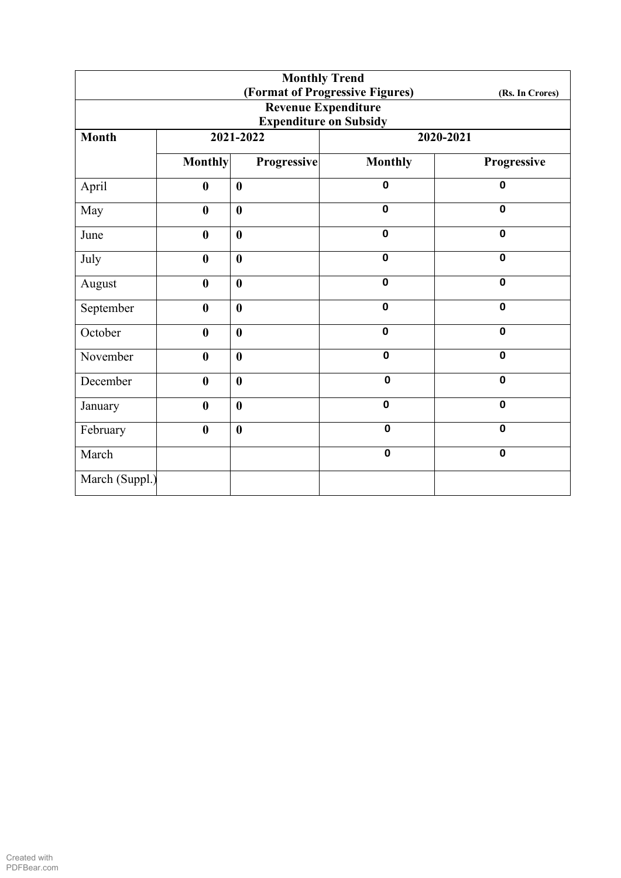| <b>Monthly Trend</b> |                  |                  |                                 |                 |  |
|----------------------|------------------|------------------|---------------------------------|-----------------|--|
|                      |                  |                  | (Format of Progressive Figures) | (Rs. In Crores) |  |
|                      |                  |                  | <b>Revenue Expenditure</b>      |                 |  |
|                      |                  |                  | <b>Expenditure on Subsidy</b>   |                 |  |
| <b>Month</b>         |                  | 2021-2022        | 2020-2021                       |                 |  |
|                      | <b>Monthly</b>   | Progressive      | <b>Monthly</b>                  | Progressive     |  |
| April                | $\bf{0}$         | $\bf{0}$         | $\mathbf 0$                     | $\mathbf 0$     |  |
| May                  | $\bf{0}$         | $\bf{0}$         | $\mathbf 0$                     | $\mathbf 0$     |  |
| June                 | $\bf{0}$         | $\bf{0}$         | $\mathbf 0$                     | $\mathbf 0$     |  |
| July                 | $\boldsymbol{0}$ | $\bf{0}$         | $\mathbf 0$                     | $\mathbf 0$     |  |
| August               | $\boldsymbol{0}$ | $\bf{0}$         | $\mathbf 0$                     | $\mathbf 0$     |  |
| September            | $\boldsymbol{0}$ | $\boldsymbol{0}$ | $\mathbf 0$                     | $\mathbf 0$     |  |
| October              | $\boldsymbol{0}$ | $\bf{0}$         | $\mathbf 0$                     | $\mathbf 0$     |  |
| November             | $\bf{0}$         | $\bf{0}$         | $\mathbf 0$                     | $\mathbf 0$     |  |
| December             | $\bf{0}$         | $\bf{0}$         | $\mathbf 0$                     | $\mathbf 0$     |  |
| January              | $\bf{0}$         | $\bf{0}$         | $\mathbf 0$                     | $\mathbf 0$     |  |
| February             | $\boldsymbol{0}$ | $\bf{0}$         | $\mathbf 0$                     | $\mathbf 0$     |  |
| March                |                  |                  | $\mathbf 0$                     | $\mathbf 0$     |  |
| March (Suppl.)       |                  |                  |                                 |                 |  |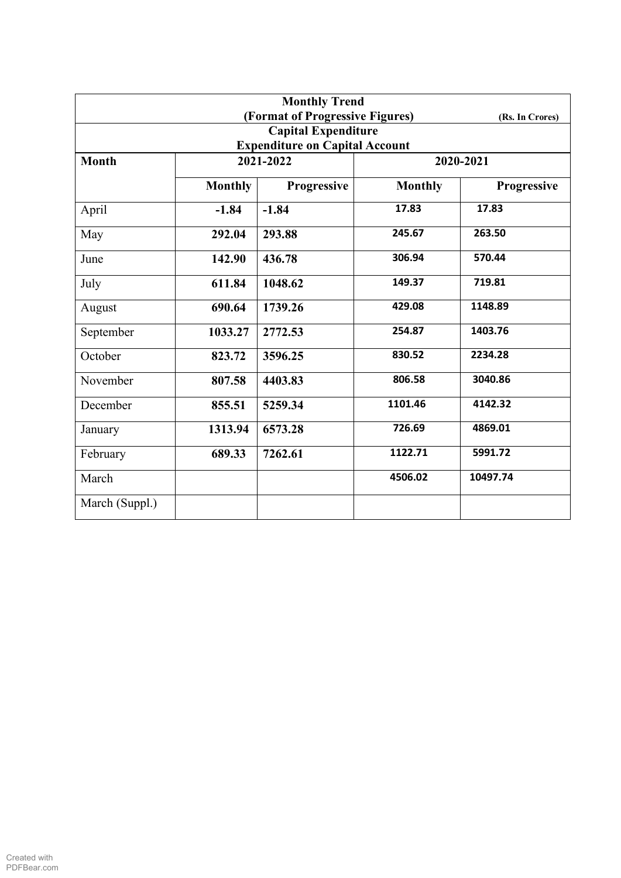| <b>Monthly Trend</b>                  |                |             |                |                 |  |  |
|---------------------------------------|----------------|-------------|----------------|-----------------|--|--|
| (Format of Progressive Figures)       |                |             |                | (Rs. In Crores) |  |  |
| <b>Capital Expenditure</b>            |                |             |                |                 |  |  |
| <b>Expenditure on Capital Account</b> |                |             |                |                 |  |  |
| <b>Month</b>                          | 2021-2022      |             | 2020-2021      |                 |  |  |
|                                       | <b>Monthly</b> | Progressive | <b>Monthly</b> | Progressive     |  |  |
| April                                 | $-1.84$        | $-1.84$     | 17.83          | 17.83           |  |  |
| May                                   | 292.04         | 293.88      | 245.67         | 263.50          |  |  |
| June                                  | 142.90         | 436.78      | 306.94         | 570.44          |  |  |
| July                                  | 611.84         | 1048.62     | 149.37         | 719.81          |  |  |
| August                                | 690.64         | 1739.26     | 429.08         | 1148.89         |  |  |
| September                             | 1033.27        | 2772.53     | 254.87         | 1403.76         |  |  |
| October                               | 823.72         | 3596.25     | 830.52         | 2234.28         |  |  |
| November                              | 807.58         | 4403.83     | 806.58         | 3040.86         |  |  |
| December                              | 855.51         | 5259.34     | 1101.46        | 4142.32         |  |  |
| January                               | 1313.94        | 6573.28     | 726.69         | 4869.01         |  |  |
| February                              | 689.33         | 7262.61     | 1122.71        | 5991.72         |  |  |
| March                                 |                |             | 4506.02        | 10497.74        |  |  |
| March (Suppl.)                        |                |             |                |                 |  |  |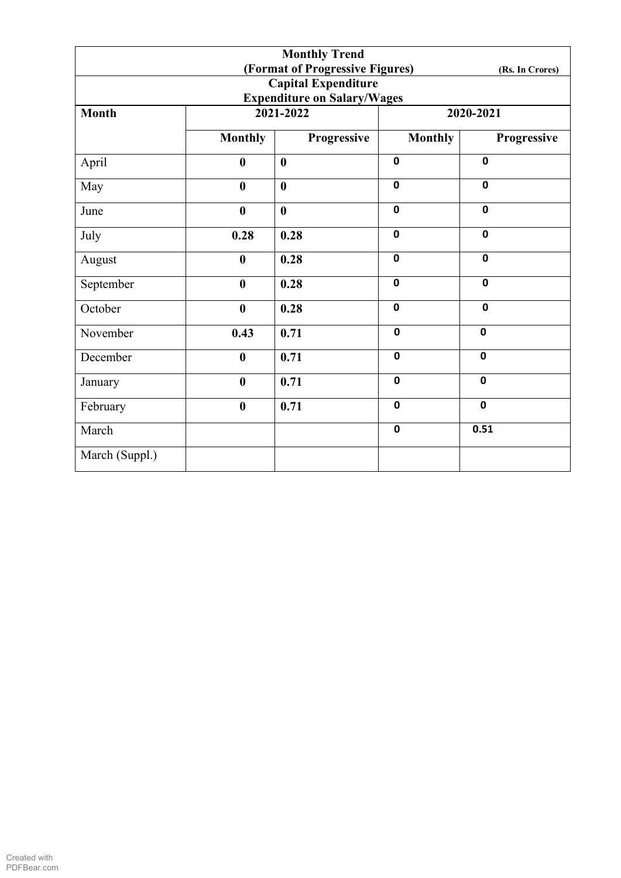|                                    |                  | <b>Monthly Trend</b> |                |             |  |  |
|------------------------------------|------------------|----------------------|----------------|-------------|--|--|
| (Format of Progressive Figures)    |                  |                      |                |             |  |  |
| <b>Capital Expenditure</b>         |                  |                      |                |             |  |  |
| <b>Expenditure on Salary/Wages</b> |                  |                      |                |             |  |  |
| <b>Month</b>                       |                  | 2021-2022            | 2020-2021      |             |  |  |
|                                    | <b>Monthly</b>   | Progressive          | <b>Monthly</b> | Progressive |  |  |
| April                              | $\boldsymbol{0}$ | $\boldsymbol{0}$     | $\mathbf 0$    | $\mathbf 0$ |  |  |
| May                                | $\bf{0}$         | $\boldsymbol{0}$     | $\mathbf 0$    | $\mathbf 0$ |  |  |
| June                               | $\bf{0}$         | $\mathbf{0}$         | $\mathbf 0$    | $\mathbf 0$ |  |  |
| July                               | 0.28             | 0.28                 | $\mathbf 0$    | $\mathbf 0$ |  |  |
| August                             | $\boldsymbol{0}$ | 0.28                 | $\mathbf 0$    | $\mathbf 0$ |  |  |
| September                          | $\boldsymbol{0}$ | 0.28                 | $\mathbf 0$    | $\mathbf 0$ |  |  |
| October                            | $\boldsymbol{0}$ | 0.28                 | $\mathbf 0$    | $\mathbf 0$ |  |  |
| November                           | 0.43             | 0.71                 | $\mathbf 0$    | $\mathbf 0$ |  |  |
| December                           | $\bf{0}$         | 0.71                 | $\mathbf 0$    | $\mathbf 0$ |  |  |
| January                            | $\bf{0}$         | 0.71                 | $\mathbf 0$    | $\mathbf 0$ |  |  |
| February                           | $\boldsymbol{0}$ | 0.71                 | $\mathbf 0$    | $\mathbf 0$ |  |  |
| March                              |                  |                      | $\mathbf 0$    | 0.51        |  |  |
| March (Suppl.)                     |                  |                      |                |             |  |  |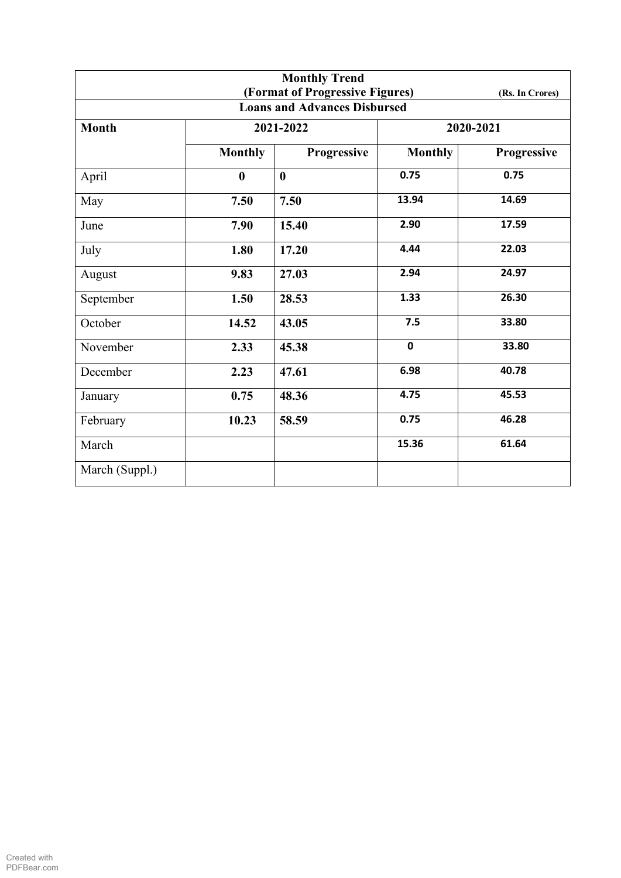|                |                  | <b>Monthly Trend</b><br>(Format of Progressive Figures) |                |                 |  |
|----------------|------------------|---------------------------------------------------------|----------------|-----------------|--|
|                |                  | <b>Loans and Advances Disbursed</b>                     |                | (Rs. In Crores) |  |
| <b>Month</b>   |                  | 2021-2022                                               | 2020-2021      |                 |  |
|                | <b>Monthly</b>   | Progressive                                             | <b>Monthly</b> | Progressive     |  |
| April          | $\boldsymbol{0}$ | $\bf{0}$                                                | 0.75           | 0.75            |  |
| May            | 7.50             | 7.50                                                    | 13.94          | 14.69           |  |
| June           | 7.90             | 15.40                                                   | 2.90           | 17.59           |  |
| July           | 1.80             | 17.20                                                   | 4.44           | 22.03           |  |
| August         | 9.83             | 27.03                                                   | 2.94           | 24.97           |  |
| September      | 1.50             | 28.53                                                   | 1.33           | 26.30           |  |
| October        | 14.52            | 43.05                                                   | 7.5            | 33.80           |  |
| November       | 2.33             | 45.38                                                   | $\mathbf 0$    | 33.80           |  |
| December       | 2.23             | 47.61                                                   | 6.98           | 40.78           |  |
| January        | 0.75             | 48.36                                                   | 4.75           | 45.53           |  |
| February       | 10.23            | 58.59                                                   | 0.75           | 46.28           |  |
| March          |                  |                                                         | 15.36          | 61.64           |  |
| March (Suppl.) |                  |                                                         |                |                 |  |